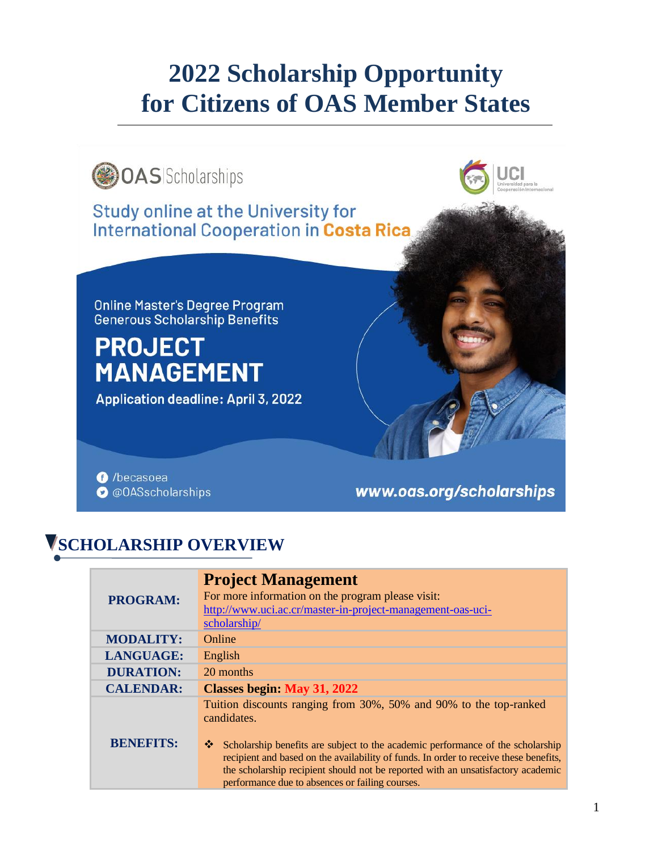# **2022 Scholarship Opportunity for Citizens of OAS Member States**



# **SCHOLARSHIP OVERVIEW**

| <b>PROGRAM:</b>  | <b>Project Management</b><br>For more information on the program please visit:<br>http://www.uci.ac.cr/master-in-project-management-oas-uci-<br>scholarship/                                                                                                                                                          |
|------------------|-----------------------------------------------------------------------------------------------------------------------------------------------------------------------------------------------------------------------------------------------------------------------------------------------------------------------|
| <b>MODALITY:</b> | Online                                                                                                                                                                                                                                                                                                                |
| <b>LANGUAGE:</b> | English                                                                                                                                                                                                                                                                                                               |
| <b>DURATION:</b> | 20 months                                                                                                                                                                                                                                                                                                             |
| <b>CALENDAR:</b> | <b>Classes begin: May 31, 2022</b>                                                                                                                                                                                                                                                                                    |
|                  | Tuition discounts ranging from 30%, 50% and 90% to the top-ranked<br>candidates.                                                                                                                                                                                                                                      |
| <b>BENEFITS:</b> | 豪。<br>Scholarship benefits are subject to the academic performance of the scholarship<br>recipient and based on the availability of funds. In order to receive these benefits,<br>the scholarship recipient should not be reported with an unsatisfactory academic<br>performance due to absences or failing courses. |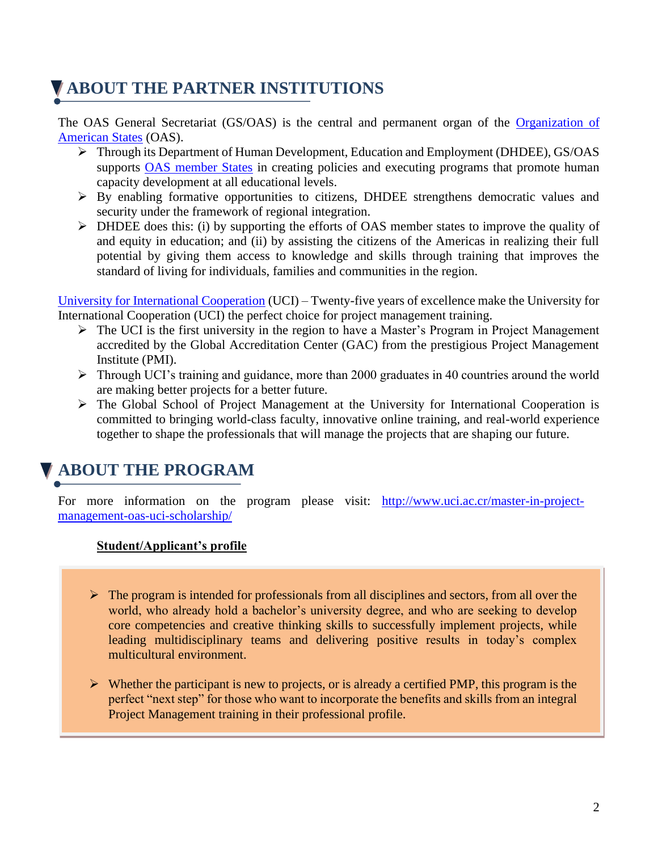# **ABOUT THE PARTNER INSTITUTIONS**

The OAS General Secretariat (GS/OAS) is the central and permanent organ of the [Organization of](http://www.oas.org/en/)  [American States](http://www.oas.org/en/) (OAS).

- ➢ Through its Department of Human Development, Education and Employment (DHDEE), GS/OAS supports [OAS member States](http://www.oas.org/en/member_states/default.asp) in creating policies and executing programs that promote human capacity development at all educational levels.
- ➢ By enabling formative opportunities to citizens, DHDEE strengthens democratic values and security under the framework of regional integration.
- ➢ DHDEE does this: (i) by supporting the efforts of OAS member states to improve the quality of and equity in education; and (ii) by assisting the citizens of the Americas in realizing their full potential by giving them access to knowledge and skills through training that improves the standard of living for individuals, families and communities in the region.

[University for International Cooperation](https://www.uci.ac.cr/university-international-cooperation/) (UCI) – Twenty-five years of excellence make the University for International Cooperation (UCI) the perfect choice for project management training.

- ➢ The UCI is the first university in the region to have a Master's Program in Project Management accredited by the Global Accreditation Center (GAC) from the prestigious Project Management Institute (PMI).
- ➢ Through UCI's training and guidance, more than 2000 graduates in 40 countries around the world are making better projects for a better future.
- ➢ The Global School of Project Management at the University for International Cooperation is committed to bringing world-class faculty, innovative online training, and real-world experience together to shape the professionals that will manage the projects that are shaping our future.

#### **ABOUT THE PROGRAM**

For more information on the program please visit: [http://www.uci.ac.cr/master-in-project](http://www.uci.ac.cr/master-in-project-management-oas-uci-scholarship/)[management-oas-uci-scholarship/](http://www.uci.ac.cr/master-in-project-management-oas-uci-scholarship/)

#### **Student/Applicant's profile**

- $\triangleright$  The program is intended for professionals from all disciplines and sectors, from all over the world, who already hold a bachelor's university degree, and who are seeking to develop core competencies and creative thinking skills to successfully implement projects, while leading multidisciplinary teams and delivering positive results in today's complex multicultural environment.
- **Admission Process:**  perfect "next step" for those who want to incorporate the benefits and skills from an integral  $\triangleright$  Whether the participant is new to projects, or is already a certified PMP, this program is the Project Management training in their professional profile.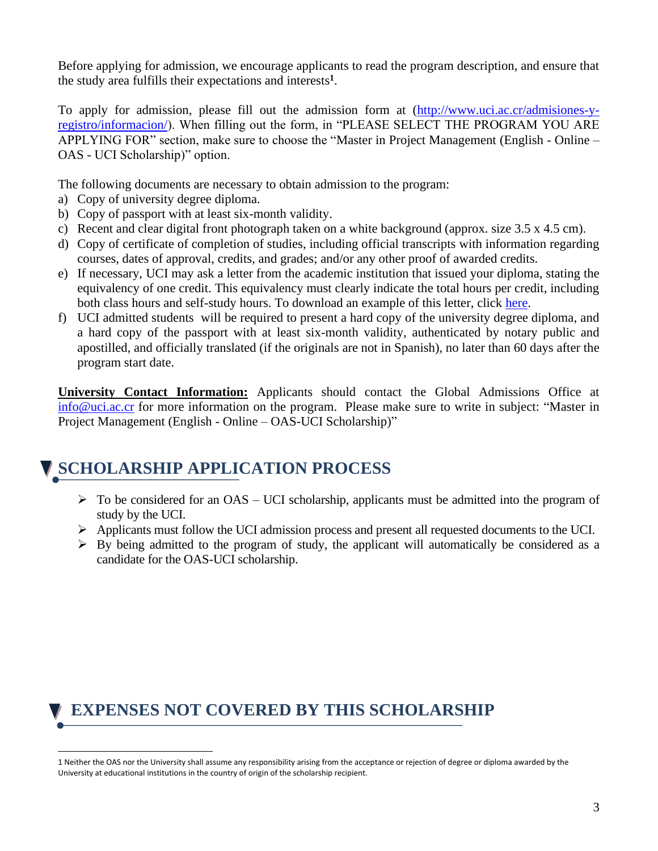Before applying for admission, we encourage applicants to read the program description, and ensure that the study area fulfills their expectations and interests**<sup>1</sup>** .

To apply for admission, please fill out the admission form at [\(http://www.uci.ac.cr/admisiones-y](http://www.uci.ac.cr/admisiones-y-registro/informacion/)[registro/informacion/\)](http://www.uci.ac.cr/admisiones-y-registro/informacion/). When filling out the form, in "PLEASE SELECT THE PROGRAM YOU ARE APPLYING FOR" section, make sure to choose the "Master in Project Management (English - Online – OAS - UCI Scholarship)" option.

The following documents are necessary to obtain admission to the program:

- a) Copy of university degree diploma.
- b) Copy of passport with at least six-month validity.
- c) Recent and clear digital front photograph taken on a white background (approx. size  $3.5 \times 4.5 \text{ cm}$ ).
- d) Copy of certificate of completion of studies, including official transcripts with information regarding courses, dates of approval, credits, and grades; and/or any other proof of awarded credits.
- e) If necessary, UCI may ask a letter from the academic institution that issued your diploma, stating the equivalency of one credit. This equivalency must clearly indicate the total hours per credit, including both class hours and self-study hours. To download an example of this letter, click [here.](http://www.uci.ac.cr/admision/form/Credit_Equivalency_Hours_Example.docx)
- f) UCI admitted students will be required to present a hard copy of the university degree diploma, and a hard copy of the passport with at least six-month validity, authenticated by notary public and apostilled, and officially translated (if the originals are not in Spanish), no later than 60 days after the program start date.

**University Contact Information:** Applicants should contact the Global Admissions Office at [info@uci.ac.cr](mailto:info@uci.ac.cr) for more information on the program. Please make sure to write in subject: "Master in Project Management (English - Online – OAS-UCI Scholarship)"

#### **SCHOLARSHIP APPLICATION PROCESS**

- $\triangleright$  To be considered for an OAS UCI scholarship, applicants must be admitted into the program of study by the UCI.
- ➢ Applicants must follow the UCI admission process and present all requested documents to the UCI.
- $\triangleright$  By being admitted to the program of study, the applicant will automatically be considered as a candidate for the OAS-UCI scholarship.

#### **EXPENSES NOT COVERED BY THIS SCHOLARSHIP**

<sup>1</sup> Neither the OAS nor the University shall assume any responsibility arising from the acceptance or rejection of degree or diploma awarded by the University at educational institutions in the country of origin of the scholarship recipient.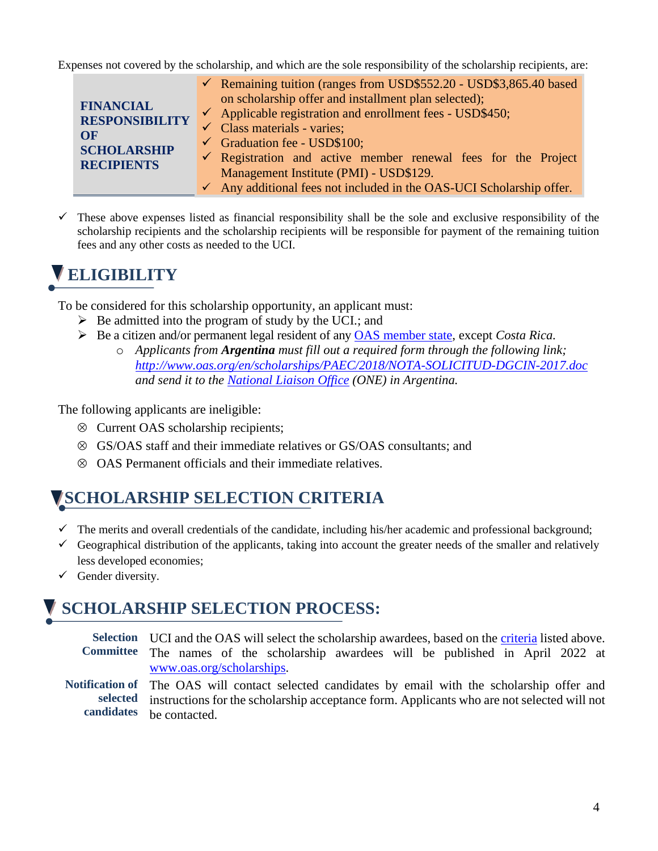Expenses not covered by the scholarship, and which are the sole responsibility of the scholarship recipients, are:

|                                                                                            | $\checkmark$ Remaining tuition (ranges from USD\$552.20 - USD\$3,865.40 based                                                                                                                                                                                                                                                                                                                                              |
|--------------------------------------------------------------------------------------------|----------------------------------------------------------------------------------------------------------------------------------------------------------------------------------------------------------------------------------------------------------------------------------------------------------------------------------------------------------------------------------------------------------------------------|
| <b>FINANCIAL</b><br><b>RESPONSIBILITY</b><br>OF<br><b>SCHOLARSHIP</b><br><b>RECIPIENTS</b> | on scholarship offer and installment plan selected);<br>$\checkmark$ Applicable registration and enrollment fees - USD\$450;<br>$\checkmark$ Class materials - varies;<br>$\checkmark$ Graduation fee - USD\$100;<br>$\checkmark$ Registration and active member renewal fees for the Project<br>Management Institute (PMI) - USD\$129.<br>$\checkmark$ Any additional fees not included in the OAS-UCI Scholarship offer. |

 $\checkmark$  These above expenses listed as financial responsibility shall be the sole and exclusive responsibility of the scholarship recipients and the scholarship recipients will be responsible for payment of the remaining tuition fees and any other costs as needed to the UCI.

# **ELIGIBILITY**

To be considered for this scholarship opportunity, an applicant must:

- $\triangleright$  Be admitted into the program of study by the UCI.; and
- ➢ Be a citizen and/or permanent legal resident of any [OAS member state,](http://www.oas.org/en/member_states/default.asp) except *Costa Rica.*
	- o *Applicants from Argentina must fill out a required form through the following link; <http://www.oas.org/en/scholarships/PAEC/2018/NOTA-SOLICITUD-DGCIN-2017.doc> and send it to the [National Liaison](http://www.oas.org/en/scholarships/regularprogram/one.asp) Office (ONE) in Argentina.*

The following applicants are ineligible:

- Current OAS scholarship recipients;
- GS/OAS staff and their immediate relatives or GS/OAS consultants; and
- OAS Permanent officials and their immediate relatives.

#### **SCHOLARSHIP SELECTION CRITERIA**

- $\checkmark$  The merits and overall credentials of the candidate, including his/her academic and professional background;
- $\checkmark$  Geographical distribution of the applicants, taking into account the greater needs of the smaller and relatively less developed economies;
- $\checkmark$  Gender diversity.

# **SCHOLARSHIP SELECTION PROCESS:**

Selection UCI and the OAS will select the scholarship awardees, based on the criteria listed above. **Committee** The names of the scholarship awardees will be published in April 2022 at [www.oas.org/scholarships.](http://www.oas.org/scholarships)

**Notification of selected candidates** The OAS will contact selected candidates by email with the scholarship offer and instructions for the scholarship acceptance form. Applicants who are not selected will not be contacted.